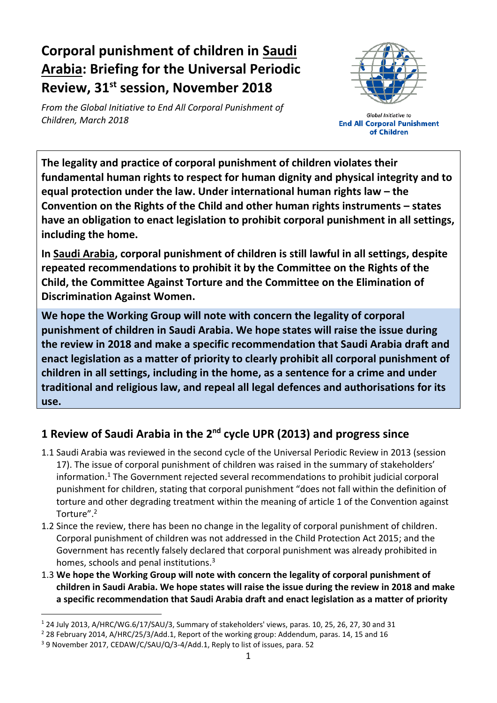# **Corporal punishment of children in Saudi Arabia: Briefing for the Universal Periodic Review, 31 st session, November 2018**

*From the Global Initiative to End All Corporal Punishment of Children, March 2018*



**Global Initiative to End All Corporal Punishment** of Children

**The legality and practice of corporal punishment of children violates their fundamental human rights to respect for human dignity and physical integrity and to equal protection under the law. Under international human rights law – the Convention on the Rights of the Child and other human rights instruments – states have an obligation to enact legislation to prohibit corporal punishment in all settings, including the home.**

**In Saudi Arabia, corporal punishment of children is still lawful in all settings, despite repeated recommendations to prohibit it by the Committee on the Rights of the Child, the Committee Against Torture and the Committee on the Elimination of Discrimination Against Women.**

**We hope the Working Group will note with concern the legality of corporal punishment of children in Saudi Arabia. We hope states will raise the issue during the review in 2018 and make a specific recommendation that Saudi Arabia draft and enact legislation as a matter of priority to clearly prohibit all corporal punishment of children in all settings, including in the home, as a sentence for a crime and under traditional and religious law, and repeal all legal defences and authorisations for its use.**

## **1 Review of Saudi Arabia in the 2nd cycle UPR (2013) and progress since**

- 1.1 Saudi Arabia was reviewed in the second cycle of the Universal Periodic Review in 2013 (session 17). The issue of corporal punishment of children was raised in the summary of stakeholders' information.<sup>1</sup> The Government rejected several recommendations to prohibit judicial corporal punishment for children, stating that corporal punishment "does not fall within the definition of torture and other degrading treatment within the meaning of article 1 of the Convention against Torture".<sup>2</sup>
- 1.2 Since the review, there has been no change in the legality of corporal punishment of children. Corporal punishment of children was not addressed in the Child Protection Act 2015; and the Government has recently falsely declared that corporal punishment was already prohibited in homes, schools and penal institutions.<sup>3</sup>
- 1.3 **We hope the Working Group will note with concern the legality of corporal punishment of children in Saudi Arabia. We hope states will raise the issue during the review in 2018 and make a specific recommendation that Saudi Arabia draft and enact legislation as a matter of priority**

 $\overline{a}$ 

<sup>1</sup> 24 July 2013, A/HRC/WG.6/17/SAU/3, Summary of stakeholders' views, paras. 10, 25, 26, 27, 30 and 31

<sup>2</sup> 28 February 2014, A/HRC/25/3/Add.1, Report of the working group: Addendum, paras. 14, 15 and 16

<sup>&</sup>lt;sup>3</sup> 9 November 2017, CEDAW/C/SAU/Q/3-4/Add.1, Reply to list of issues, para. 52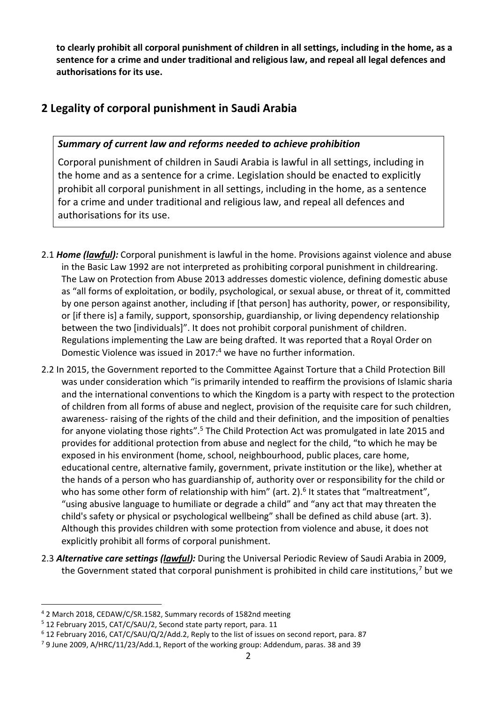**to clearly prohibit all corporal punishment of children in all settings, including in the home, as a sentence for a crime and under traditional and religious law, and repeal all legal defences and authorisations for its use.**

### **2 Legality of corporal punishment in Saudi Arabia**

#### *Summary of current law and reforms needed to achieve prohibition*

Corporal punishment of children in Saudi Arabia is lawful in all settings, including in the home and as a sentence for a crime. Legislation should be enacted to explicitly prohibit all corporal punishment in all settings, including in the home, as a sentence for a crime and under traditional and religious law, and repeal all defences and authorisations for its use.

- 2.1 *Home (lawful):* Corporal punishment is lawful in the home. Provisions against violence and abuse in the Basic Law 1992 are not interpreted as prohibiting corporal punishment in childrearing. The Law on Protection from Abuse 2013 addresses domestic violence, defining domestic abuse as "all forms of exploitation, or bodily, psychological, or sexual abuse, or threat of it, committed by one person against another, including if [that person] has authority, power, or responsibility, or [if there is] a family, support, sponsorship, guardianship, or living dependency relationship between the two [individuals]". It does not prohibit corporal punishment of children. Regulations implementing the Law are being drafted. It was reported that a Royal Order on Domestic Violence was issued in 2017:<sup>4</sup> we have no further information.
- 2.2 In 2015, the Government reported to the Committee Against Torture that a Child Protection Bill was under consideration which "is primarily intended to reaffirm the provisions of Islamic sharia and the international conventions to which the Kingdom is a party with respect to the protection of children from all forms of abuse and neglect, provision of the requisite care for such children, awareness- raising of the rights of the child and their definition, and the imposition of penalties for anyone violating those rights".<sup>5</sup> The Child Protection Act was promulgated in late 2015 and provides for additional protection from abuse and neglect for the child, "to which he may be exposed in his environment (home, school, neighbourhood, public places, care home, educational centre, alternative family, government, private institution or the like), whether at the hands of a person who has guardianship of, authority over or responsibility for the child or who has some other form of relationship with him" (art. 2).<sup>6</sup> It states that "maltreatment", "using abusive language to humiliate or degrade a child" and "any act that may threaten the child's safety or physical or psychological wellbeing" shall be defined as child abuse (art. 3). Although this provides children with some protection from violence and abuse, it does not explicitly prohibit all forms of corporal punishment.
- 2.3 *Alternative care settings (lawful):* During the Universal Periodic Review of Saudi Arabia in 2009, the Government stated that corporal punishment is prohibited in child care institutions,<sup>7</sup> but we

 $\overline{a}$ 

<sup>4</sup> 2 March 2018, CEDAW/C/SR.1582, Summary records of 1582nd meeting

<sup>5</sup> 12 February 2015, CAT/C/SAU/2, Second state party report, para. 11

<sup>6</sup> 12 February 2016, CAT/C/SAU/Q/2/Add.2, Reply to the list of issues on second report, para. 87

 $79$  June 2009, A/HRC/11/23/Add.1, Report of the working group: Addendum, paras. 38 and 39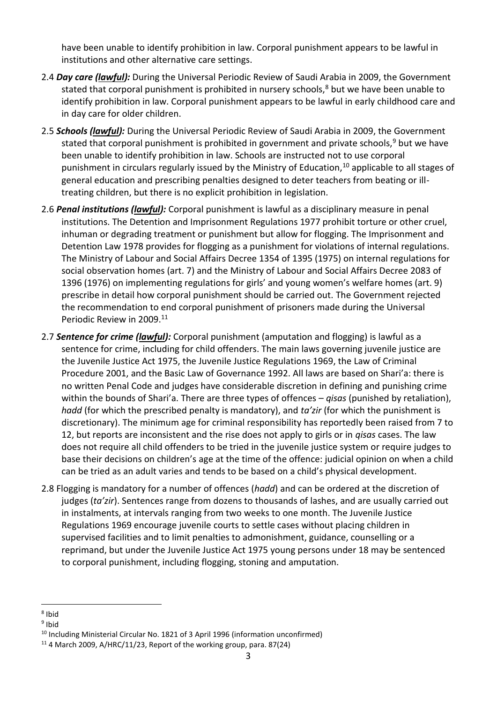have been unable to identify prohibition in law. Corporal punishment appears to be lawful in institutions and other alternative care settings.

- 2.4 *Day care (lawful):* During the Universal Periodic Review of Saudi Arabia in 2009, the Government stated that corporal punishment is prohibited in nursery schools, $8$  but we have been unable to identify prohibition in law. Corporal punishment appears to be lawful in early childhood care and in day care for older children.
- 2.5 *Schools (lawful):* During the Universal Periodic Review of Saudi Arabia in 2009, the Government stated that corporal punishment is prohibited in government and private schools,<sup>9</sup> but we have been unable to identify prohibition in law. Schools are instructed not to use corporal punishment in circulars regularly issued by the Ministry of Education,<sup>10</sup> applicable to all stages of general education and prescribing penalties designed to deter teachers from beating or illtreating children, but there is no explicit prohibition in legislation.
- 2.6 *Penal institutions (lawful):* Corporal punishment is lawful as a disciplinary measure in penal institutions. The Detention and Imprisonment Regulations 1977 prohibit torture or other cruel, inhuman or degrading treatment or punishment but allow for flogging. The Imprisonment and Detention Law 1978 provides for flogging as a punishment for violations of internal regulations. The Ministry of Labour and Social Affairs Decree 1354 of 1395 (1975) on internal regulations for social observation homes (art. 7) and the Ministry of Labour and Social Affairs Decree 2083 of 1396 (1976) on implementing regulations for girls' and young women's welfare homes (art. 9) prescribe in detail how corporal punishment should be carried out. The Government rejected the recommendation to end corporal punishment of prisoners made during the Universal Periodic Review in 2009.<sup>11</sup>
- 2.7 *Sentence for crime (lawful):* Corporal punishment (amputation and flogging) is lawful as a sentence for crime, including for child offenders. The main laws governing juvenile justice are the Juvenile Justice Act 1975, the Juvenile Justice Regulations 1969, the Law of Criminal Procedure 2001, and the Basic Law of Governance 1992. All laws are based on Shari'a: there is no written Penal Code and judges have considerable discretion in defining and punishing crime within the bounds of Shari'a. There are three types of offences – *qisas* (punished by retaliation), *hadd* (for which the prescribed penalty is mandatory), and *ta'zir* (for which the punishment is discretionary). The minimum age for criminal responsibility has reportedly been raised from 7 to 12, but reports are inconsistent and the rise does not apply to girls or in *qisas* cases. The law does not require all child offenders to be tried in the juvenile justice system or require judges to base their decisions on children's age at the time of the offence: judicial opinion on when a child can be tried as an adult varies and tends to be based on a child's physical development.
- 2.8 Flogging is mandatory for a number of offences (*hadd*) and can be ordered at the discretion of judges (*ta'zir*). Sentences range from dozens to thousands of lashes, and are usually carried out in instalments, at intervals ranging from two weeks to one month. The Juvenile Justice Regulations 1969 encourage juvenile courts to settle cases without placing children in supervised facilities and to limit penalties to admonishment, guidance, counselling or a reprimand, but under the Juvenile Justice Act 1975 young persons under 18 may be sentenced to corporal punishment, including flogging, stoning and amputation.

 $\overline{a}$ <sup>8</sup> Ibid

<sup>&</sup>lt;sup>9</sup> Ibid

<sup>&</sup>lt;sup>10</sup> Including Ministerial Circular No. 1821 of 3 April 1996 (information unconfirmed)

 $11$  4 March 2009, A/HRC/11/23, Report of the working group, para. 87(24)